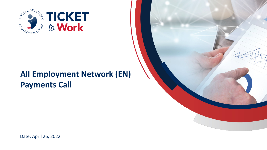

# **All Employment Network (EN) Payments Call**



Date: April 26, 2022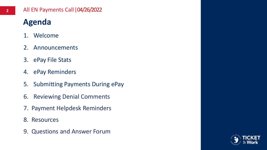#### **2** All EN Payments Call|04/26/2022

# **Agenda**

- 1. Welcome
- 2. Announcements
- 3. ePay File Stats
- 4. ePay Reminders
- 5. Submitting Payments During ePay
- 6. Reviewing Denial Comments
- 7. Payment Helpdesk Reminders
- 8. Resources
- 9. Questions and Answer Forum

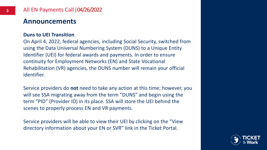### **Announcements**

#### **Duns to UEI Transition**

On April 4, 2022, federal agencies, including Social Security, switched from using the Data Universal Numbering System (DUNS) to a Unique Entity Identifier (UEI) for federal awards and payments. In order to ensure continuity for Employment Networks (EN) and State Vocational Rehabilitation (VR) agencies, the DUNS number will remain your official identifier.

Service providers do **not** need to take any action at this time; however, you will see SSA migrating away from the term "DUNS" and begin using the term "PID" (Provider ID) in its place. SSA will store the UEI behind the scenes to properly process EN and VR payments.

Service providers will be able to view their UEI by clicking on the "View directory information about your EN or SVR" link in the Ticket Portal.

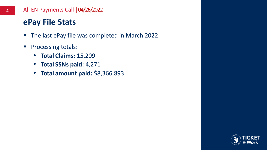### **ePay File Stats**

- The last ePay file was completed in March 2022.
- Processing totals:
	- **Total Claims:** 15,209
	- **Total SSNs paid:** 4,271
	- **Total amount paid:** \$8,366,893

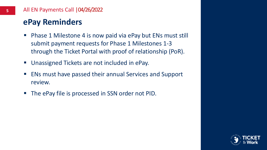### **ePay Reminders**

- Phase 1 Milestone 4 is now paid via ePay but ENs must still submit payment requests for Phase 1 Milestones 1-3 through the Ticket Portal with proof of relationship (PoR).
- Unassigned Tickets are not included in ePay.
- ENs must have passed their annual Services and Support review.
- The ePay file is processed in SSN order not PID.

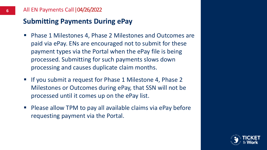### **Submitting Payments During ePay**

- Phase 1 Milestones 4, Phase 2 Milestones and Outcomes are paid via ePay. ENs are encouraged not to submit for these payment types via the Portal when the ePay file is being processed. Submitting for such payments slows down processing and causes duplicate claim months.
- If you submit a request for Phase 1 Milestone 4, Phase 2 Milestones or Outcomes during ePay, that SSN will not be processed until it comes up on the ePay list.
- Please allow TPM to pay all available claims via ePay before requesting payment via the Portal.

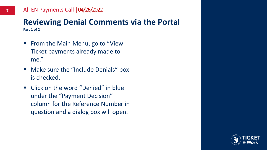#### **Reviewing Denial Comments via the Portal Part 1 of 2**

- From the Main Menu, go to "View Ticket payments already made to me."
- Make sure the "Include Denials" box is checked.
- Click on the word "Denied" in blue under the "Payment Decision" column for the Reference Number in question and a dialog box will open.

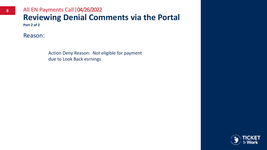### **Reviewing Denial Comments via the Portal 8** All EN Payments Call  $\left| \frac{04}{26} \right|$  2022

**Part 2 of 2**

Reason:

Action Deny Reason: Not eligible for payment due to Look Back esrnings

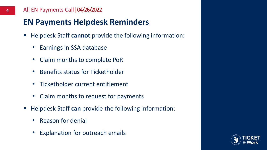#### **9** All EN Payments Call|04/26/2022

## **EN Payments Helpdesk Reminders**

- Helpdesk Staff cannot provide the following information:
	- Earnings in SSA database
	- Claim months to complete PoR
	- Benefits status for Ticketholder
	- Ticketholder current entitlement
	- Claim months to request for payments
- Helpdesk Staff can provide the following information:
	- Reason for denial
	- Explanation for outreach emails

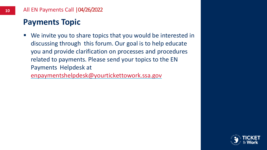### **Payments Topic**

■ We invite you to share topics that you would be interested in discussing through this forum. Our goal is to help educate you and provide clarification on processes and procedures related to payments. Please send your topics to the EN Payments Helpdesk at

[enpaymentshelpdesk@yourtickettowork.ssa.gov](mailto:enpaymentshelpdesk@yourtickettowork.ssa.gov)

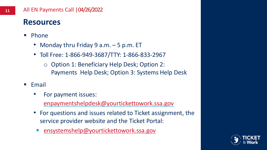### **Resources**

- Phone
	- Monday thru Friday 9 a.m. 5 p.m. ET
	- Toll Free: 1-866-949-3687/TTY: 1-866-833-2967
		- Option 1: Beneficiary Help Desk; Option 2: Payments Help Desk; Option 3: Systems Help Desk
- Email
	- For payment issues: [enpaymentshelpdesk@yourtickettowork.ssa.gov](mailto:enpaymentshelpdesk@yourtickettowork.ssa.gov)
	- For questions and issues related to Ticket assignment, the service provider website and the Ticket Portal:
	- [ensystemshelp@yourtickettowork.ssa.gov](mailto:ensystemshelp@yourtickettowork.ssa.gov)